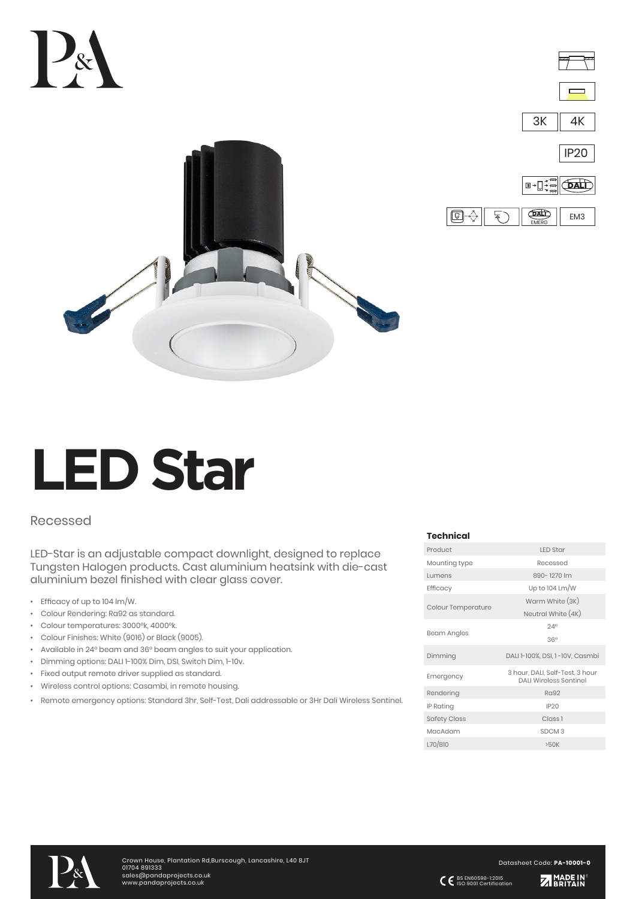





# **LED Star**

# Recessed

LED-Star is an adjustable compact downlight, designed to replace Tungsten Halogen products. Cast aluminium heatsink with die-cast aluminium bezel finished with clear glass cover.

- Efficacy of up to 104 lm/W.
- Colour Rendering: Ra92 as standard.
- Colour temperatures: 3000°k, 4000°k.
- Colour Finishes: White (9016) or Black (9005).
- Available in 24° beam and 36° beam angles to suit your application.
- Dimming options: DALI 1-100% Dim, DSI, Switch Dim, 1-10v.
- Fixed output remote driver supplied as standard.
- Wireless control options: Casambi, in remote housing.
- Remote emergency options: Standard 3hr, Self-Test, Dali addressable or 3Hr Dali Wireless Sentinel.

# **Technical**

| Product                   | <b>LED Star</b>                                                  |  |  |
|---------------------------|------------------------------------------------------------------|--|--|
| Mounting type             | Recessed                                                         |  |  |
| Lumens                    | 890-1270 lm                                                      |  |  |
| Efficacy                  | Up to $104$ Lm/W                                                 |  |  |
|                           | Warm White (3K)                                                  |  |  |
| <b>Colour Temperature</b> | Neutral White (4K)                                               |  |  |
|                           | $24^\circ$                                                       |  |  |
| <b>Beam Angles</b>        | 36°                                                              |  |  |
| Dimming                   | DALI 1-100%, DSI, 1-10V, Casmbi                                  |  |  |
| Emergency                 | 3 hour, DALI, Self-Test, 3 hour<br><b>DALI Wireless Sentinel</b> |  |  |
| Rendering                 | <b>Ra92</b>                                                      |  |  |
| <b>IP Rating</b>          | <b>IP20</b>                                                      |  |  |
| <b>Safety Class</b>       | Class <sub>1</sub>                                               |  |  |
| MacAdam                   | SDCM <sub>3</sub>                                                |  |  |
| L70/B10                   | >50K                                                             |  |  |



Datasheet Code: **PA-10001-0**